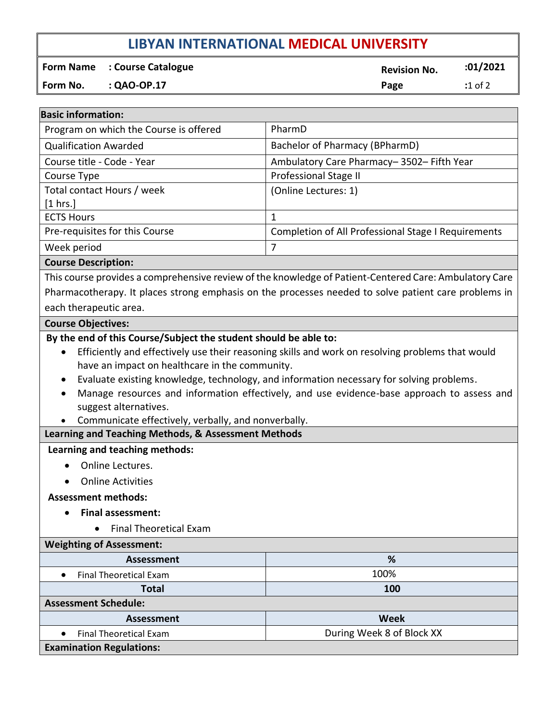# **LIBYAN INTERNATIONAL MEDICAL UNIVERSITY**

**Form Name** : Course Catalogue **Revision No. 201/2021** 

**Form No. : QAO-OP.17 Page :**1 of 2

| <b>Basic information:</b>                                                                                                                                                                                                                                                                                                |                                                            |
|--------------------------------------------------------------------------------------------------------------------------------------------------------------------------------------------------------------------------------------------------------------------------------------------------------------------------|------------------------------------------------------------|
| Program on which the Course is offered                                                                                                                                                                                                                                                                                   | PharmD                                                     |
| <b>Qualification Awarded</b>                                                                                                                                                                                                                                                                                             | Bachelor of Pharmacy (BPharmD)                             |
| Course title - Code - Year                                                                                                                                                                                                                                                                                               | Ambulatory Care Pharmacy-3502-Fifth Year                   |
| Course Type                                                                                                                                                                                                                                                                                                              | Professional Stage II                                      |
| Total contact Hours / week                                                                                                                                                                                                                                                                                               | (Online Lectures: 1)                                       |
| [1 hrs.]                                                                                                                                                                                                                                                                                                                 |                                                            |
| <b>ECTS Hours</b>                                                                                                                                                                                                                                                                                                        | $\mathbf{1}$                                               |
| Pre-requisites for this Course                                                                                                                                                                                                                                                                                           | <b>Completion of All Professional Stage I Requirements</b> |
| Week period                                                                                                                                                                                                                                                                                                              | $\overline{7}$                                             |
| <b>Course Description:</b>                                                                                                                                                                                                                                                                                               |                                                            |
| This course provides a comprehensive review of the knowledge of Patient-Centered Care: Ambulatory Care                                                                                                                                                                                                                   |                                                            |
| Pharmacotherapy. It places strong emphasis on the processes needed to solve patient care problems in                                                                                                                                                                                                                     |                                                            |
| each therapeutic area.                                                                                                                                                                                                                                                                                                   |                                                            |
| <b>Course Objectives:</b>                                                                                                                                                                                                                                                                                                |                                                            |
| have an impact on healthcare in the community.<br>Evaluate existing knowledge, technology, and information necessary for solving problems.<br>Manage resources and information effectively, and use evidence-base approach to assess and<br>suggest alternatives.<br>Communicate effectively, verbally, and nonverbally. |                                                            |
| Learning and Teaching Methods, & Assessment Methods                                                                                                                                                                                                                                                                      |                                                            |
| Learning and teaching methods:                                                                                                                                                                                                                                                                                           |                                                            |
| Online Lectures.                                                                                                                                                                                                                                                                                                         |                                                            |
| <b>Online Activities</b>                                                                                                                                                                                                                                                                                                 |                                                            |
| <b>Assessment methods:</b>                                                                                                                                                                                                                                                                                               |                                                            |
| <b>Final assessment:</b>                                                                                                                                                                                                                                                                                                 |                                                            |
| <b>Final Theoretical Exam</b>                                                                                                                                                                                                                                                                                            |                                                            |
| <b>Weighting of Assessment:</b>                                                                                                                                                                                                                                                                                          |                                                            |
| <b>Assessment</b>                                                                                                                                                                                                                                                                                                        | %                                                          |
| <b>Final Theoretical Exam</b><br>$\bullet$                                                                                                                                                                                                                                                                               | 100%                                                       |
| <b>Total</b>                                                                                                                                                                                                                                                                                                             | 100                                                        |
| <b>Assessment Schedule:</b>                                                                                                                                                                                                                                                                                              |                                                            |
| <b>Assessment</b>                                                                                                                                                                                                                                                                                                        | <b>Week</b>                                                |
| <b>Final Theoretical Exam</b>                                                                                                                                                                                                                                                                                            | During Week 8 of Block XX                                  |
| <b>Examination Regulations:</b>                                                                                                                                                                                                                                                                                          |                                                            |